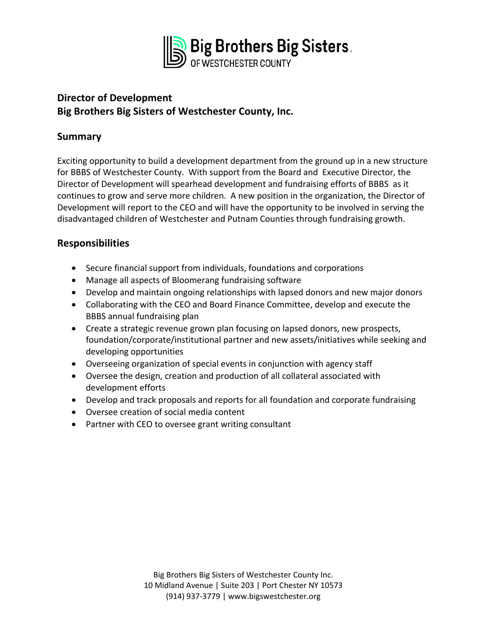

## **Director of Development Big Brothers Big Sisters of Westchester County, Inc.**

## **Summary**

Exciting opportunity to build a development department from the ground up in a new structure for BBBS of Westchester County. With support from the Board and Executive Director, the Director of Development will spearhead development and fundraising efforts of BBBS as it continues to grow and serve more children. A new position in the organization, the Director of Development will report to the CEO and will have the opportunity to be involved in serving the disadvantaged children of Westchester and Putnam Counties through fundraising growth.

## **Responsibilities**

- Secure financial support from individuals, foundations and corporations
- Manage all aspects of Bloomerang fundraising software
- Develop and maintain ongoing relationships with lapsed donors and new major donors
- Collaborating with the CEO and Board Finance Committee, develop and execute the BBBS annual fundraising plan
- Create a strategic revenue grown plan focusing on lapsed donors, new prospects, foundation/corporate/institutional partner and new assets/initiatives while seeking and developing opportunities
- Overseeing organization of special events in conjunction with agency staff
- Oversee the design, creation and production of all collateral associated with development efforts
- Develop and track proposals and reports for all foundation and corporate fundraising
- Oversee creation of social media content
- Partner with CEO to oversee grant writing consultant